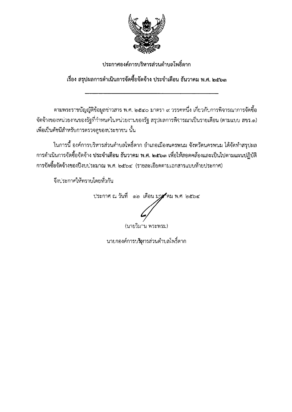

# ประกาศองค์การบริหารส่วนตำบลโพธิ์ตาก

# เรื่อง สรุปผลการดำเนินการจัดซื้อจัดจ้าง ประจำเดือน ธันวาคม พ.ศ. ๒๕๖๓

ตามพระราชบัญญัติข้อมูลช่าวสาร พ.ศ. ๒๕๔๐ มาตรา ๙ วรรคหนึ่ง เกี่ยวกับการพิจารณาการจัดซื้อ จัดจ้างของหน่วยงานของรัฐที่กำหนดในหน่วยงานของรัฐ สรุปผลการพิจารณาเป็นรายเดือน (ตามแบบ สขร.๑) เพื่อเป็นดัชนีสำหรับการตรวจดูของประชาชน นั้น

ในการนี้ องค์การบริหารส่วนตำบลโพธิ์ตาก อำเภอเมืองนครพนม จังหวัดนครพนม ได้จัดทำสรุปผล การดำเนินการจัดซื้อจัดจ้าง ประจำเดือน ธันวาคม พ.ศ. ๒๕๖๓ เพื่อให้สอดคล้องและเป็นไปตามแผนปฏิบัติ การจัดซื้อจัดจ้างของปีงบบ่ระมาณ พ.ศ. ๒๕๖๔ (รายละเอียดตามเอกสารแบบท้ายประกาศ)

จึงประกาศให้ทราบโดยทั่วกัน

ประกาศ ณ วันที่ ๑๒ เดือน มาร์คม พ.ศ ๒๕๖๔

(นายวิมาน พระพรม)

นายกองค์การบริหารส่วนตำบลโพธิ์ตาก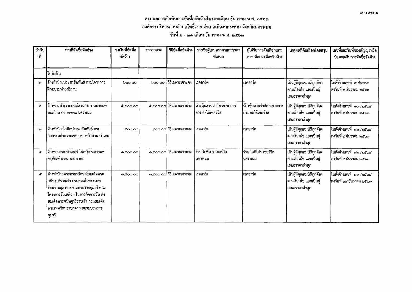| ลำดับ<br>ที่ | งานที่จัดซื้อจัดจ้าง                                                                                                                                                                                                                 | วงเงินที่จัดซื้อ<br>จัดจ้าง | ราคากลาง | วิธีจัดซื้อจัดจ้าง       | รายชื่อผู้เสนอราคาและราคา<br>ที่เสนอ            | ผู้ได้รับการคัดเลือกและ<br>ราคาที่ตกลงซื้อหรือจ้าง | เหตุผลที่คัดเลือกโดยสรุป                                                | เลขที่และวันที่ของสัญญาหรือ<br>ข้อตกลงในการจัดซื้อจัดจ้าง |
|--------------|--------------------------------------------------------------------------------------------------------------------------------------------------------------------------------------------------------------------------------------|-----------------------------|----------|--------------------------|-------------------------------------------------|----------------------------------------------------|-------------------------------------------------------------------------|-----------------------------------------------------------|
|              | ใบสั่งจ้าง                                                                                                                                                                                                                           |                             |          |                          |                                                 |                                                    |                                                                         |                                                           |
| ෧            | จ้างทำป้ายประชาสัมพันธ์ ตามโครงการ<br> ฝึกอบรมทำธุงอีสาน                                                                                                                                                                             | boo oo                      | ၁၀၀ ၀၀   | วิธีเฉพาะเจาะจง          | ไเรดอาร์ต                                       | โเรดอาร์ต                                          | เป็นผู้มีคุณสมบัติถูกต้อง<br> ตามเงื่อนไข และเป็นผู้<br>้เสนอราคาต่ำสุด | ใบสั่งจ้างเลขที่ ๙ /๒๕๖๔<br> ลงวันที่ ๑ ธันวาคม ๒๕๖๓      |
| ь            | จ้างช่อมบำรุงรถยนต์ส่วนกลาง หมายเลข<br>ไทะเบียน กข ๒๗๑๑ นครพนม                                                                                                                                                                       | <b>¢,¢00 00</b>             |          | ๕,๕๐๐ ๐๐ วิธีเฉพาะเจาะจง | ห้างหุ้นส่วนจำกัด สยามการ<br>ไยาง ออโต้เซอร์วิส | ห้างหุ้นส่วนจำกัด สยามการ<br> ยาง ออโต้เซอร์วิส    | เป็นผู้มีคุณสมบัติถูกต้อง<br> ตามเงื่อนไข และเป็นผู้<br>เสนอราคาต่ำสุด  | ใบสั่งจ้างเลขที่ ๑๐ /๒๕๖๔<br> ลงวันที่ ๔ ธันวาคม ๒๕๖๓     |
| <b>cn</b>    | ่จ้างทำป้ายไวนิลประชาสัมพันธ์ ตาม<br>กิจกรรมทำความสะอาด หน้าบ้าน น่ามอง                                                                                                                                                              | COO.OO                      |          | ๔๐๐ ๐๐ วิธีเฉพาะเจาะจง   | เรดอาร์ต                                        | ไเรดอาร์ต                                          | เป็นผู้มีคุณสมบัติถูกต้อง<br> ตามเงื่อนไข และเป็นผู้<br> เสนอราคาต่ำสุด | ใบสั่งจ้างเลขที่ ๑๑ /๒๕๖๔<br> ลงวันที่ ๔ ธันวาคม ๒๕๖๓     |
| ๔            | จ้างซ่อมคอมพิวเตอร์ โน้ตบุ๊ค หมายเลข<br>ครุภัณฑ์ ๔๑๖ ๕๘ ๐๒๘                                                                                                                                                                          | ෧, <b>෫ඁ</b> ෮෮ඁ෮෮          |          | ๑,๕๐๐ ๐๐ วิธีเฉพาะเจาะจง | ร้าน ไอทีโปร เขอร์วิส<br>ไนครพนม                | ร้าน ไอทีโปร เซอร์วิส<br> นครพนม                   | เป็นผู้มีคุณสมบัติถูกต้อง<br> ตามเงื่อนไข และเป็นผู้<br> เสนอราคาต่ำสุด | ใบสังจ้างเลขที่ ๑๒ /๒๕๖๔<br>ลงวันที่ ๔ ธันวาคม ๒๕๖๓       |
| ď            | จ้างทำป้ายพระฉายาลักษณ์สมเด็จพระ<br>กนิษฐาธิราชเจ้า กรมสมเด็จพระเทพ<br> รัตนราชสุดาฯ สยามบรมราชกุมารี ตาม<br>โครงการรับเสด็จฯ ในภารกิจการรับ ส่ง<br> สมเด็จพระกนิษฐาธิราชเจ้า กรมสมเด็จ<br> พระเทพรัตนราชสุดาฯ สยามบรมราช<br>่าุมารี | m.coo ool                   |          | ๓,๔๐๐ ๐๐ วิธีเฉพาะเจาะจง | เรดอาร์ต                                        | เรดอาร์ต                                           | เป็นผู้มีคุณสมบัติถูกต้อง<br>ดามเงื่อนไข และเป็นผู้<br> เสนอราคาต่ำสุด  | ใบสั่งจ้างเลขที่ ๑๓ /๒๕๖๔<br>ลงวันที่ ๑๔ ธันวาคม ๒๕๖๓     |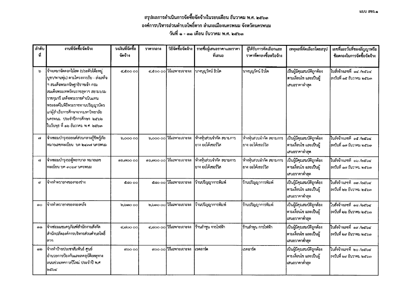### สรุปผลการดำเนินการจัดซื้อจัดจ้างในรอบเดือน ธันวาคม พ.ศ. ๒๕๖๓ ้องค์การบริหารส่วนตำบลโพธิ์ตาก อำเภอเมืองนครพนม จังหวัดนครพนม วันที่ ๑ - ๓๑ เดือน ธันวาคม พ.ศ. ๒๕๖๓

| ลำดับ<br>ที่ | งานที่จัดชื่อจัดจ้าง                                                                                                                                                                                                                                                                                                                | วงเงินที่จัดซื้อ<br>จัดจ้าง | ราคากลาง | วิธีจัดซื้อจัดจ้าง        | รายชื่อผู้เสนอราคาและราคา<br>ที่เสนอ           | ผู้ได้รับการคัดเลือกและ<br>ราคาที่ตกลงซื้อหรือจ้าง | เหตุผลที่คัดเลือกโดยสรุป                                                | เลขที่และวันที่ของสัญญาหรือ<br>ข้อตกลงในการจัดซื้อจัดจ้าง   |
|--------------|-------------------------------------------------------------------------------------------------------------------------------------------------------------------------------------------------------------------------------------------------------------------------------------------------------------------------------------|-----------------------------|----------|---------------------------|------------------------------------------------|----------------------------------------------------|-------------------------------------------------------------------------|-------------------------------------------------------------|
| ৯            | จ้างเหมาจัดดอกไม้สด (ประดับโต๊ะหมู่<br>บูชา/พานพุ่ม) ตามโครงการรับ - ส่งเสด็จ<br>ฯ สมเด็จพระกนิษฐาธิราชเจ้า กรม<br>สมเด็จพระเทพรัตนราชสุดาฯ สยามบรม<br>ราชกุมารี เสด็จพระราชดำเนินแทน<br>พระองค์ในพิธีพระราชทานปริญญาบัตร<br>แก่ผู้สำเร็จการศึกษาจากมหาวิทยาลัย<br>นครพนม ประจำปีการศึกษา ๒๕๖๒<br>ในวันพุธ ที่ ๑๖ ธันวาคม พ.ศ. ๒๕๖๓ | C.COO OO                    |          | ๔,๕๐๐ ๐๐ วิธีเฉพาะเจาะจง  | นางบุญรัตน์ ธิวโต                              | นางบุญรัตน์ ธิวโต                                  | เป็นผู้มีคุณสมบัติถูกต้อง<br> ตามเงื่อนไข และเป็นผู้<br>เสนอราคาต่ำสุด  | ใบสั่งจ้างเลขที่ ๑๔ ⁄๒๕๖๔<br> <br> ลงวันที่ ๑๕ ธันวาคม ๒๕๖๓ |
| сJ           | จ้างชอมบำรุงรถยนต์ส่วนกลางกู้ซีพกู้ภัย <br>หมายเลขทะเบียน บต ๒๔๓๗ นครพนม                                                                                                                                                                                                                                                            | 0,000 00                    |          | b,000 00 วิธีเฉพาะเจาะจง  | ห้างหุ้นส่วนจำกัด สยามการ<br>ยาง ออโต้เซอร์วิส | ห้างหุ้นส่วนจำกัด สยามการ<br> ยาง ออโต้เซอร์วิส    | เป็นผู้มีคุณสมบัติถูกต้อง<br> ดามเงื่อนไข และเป็นผู้<br>่เสนอราคาต่ำสุด | ใบสังจ้างเลขที ๑๕ /๒๕๖๔<br>ลงวันที่ ๑๗ ธันวาคม ๒๕๖๓         |
| ๘            | จ้างชอมบำรุงรถตู้พยาบาล หมายเลข<br> ทะเบียน บค ๓๐๖๙ นครพนม                                                                                                                                                                                                                                                                          | බ්,බ්ටට ටට                  |          | ๑๖,๗๐๐ ๐๐ วิธีเฉพาะเจาะจง | ท้างหุ้นส่วนจำกัด สยามการ<br>ยาง ออโต้เซอร์วิส | ห้างหุ้นส่วนจำกัด สยามการ<br>ยาง ออโต้เซอร์วิส     | เป็นผู้มีคุณสมบัติถูกต้อง<br>ตามเงื่อนไข และเป็นผู้<br>เสนอราคาต่ำสุด   | ใบสังจ้างเลขที่ ๑๖ /๒๕๖๔<br>ลงวันที่ ๑๗ ธันวาคม ๒๕๖๓        |
| C,           | จ้างทำตรายางของกองช่าง                                                                                                                                                                                                                                                                                                              | డిడం ంం                     |          | ๕๘๐ ๐๐ วิธีเฉพาะเจาะจง    | ร้านปริญญาการพิมพ์                             | ร้านปริญญาการพิมพ์                                 | เป็นผู้มีคุณสมบัติถูกต้อง<br>ตามเงื่อนไข และเป็นผู้<br>เสนอราคาต่ำสุด   | ใบสั่งจ้างเลขที่ ๑๗ /๒๕๖๔<br>ลงวันที่ ๒๒ ธันวาคม ๒๕๖๓       |
| ෙ            | จ้างทำตรายางของกองคลัง                                                                                                                                                                                                                                                                                                              | ම,ර්ශාර රථ                  |          | ๒,๖๓๐ ๐๐ วิธีเฉพาะเจาะจง  | ร้านปริญญาการพิมพ์                             | ร้านปริญญาการพิมพ์                                 | เป็นผู้มีคุณสมบัติถูกต้อง<br>ตามเงื่อนไข และเป็นผู้<br>เสนอราคาต่ำสุด   | ใบสั่งจ้างเลขที่ ๑๘ /๒๕๖๔<br> ลงวันที่ ๒๒ ธันวาคม ๒๕๖๓      |
| ෧෧           | จ้างช่อมแซมครุภัณฑ์สำนักงานสังกัด<br> สำนักปลัดองค์การบริหารส่วนตำบลโพธิ์<br>ิตาก                                                                                                                                                                                                                                                   | 6,60000                     |          | ๔,๘๐๐ ๐๐ วิธีเฉพาะเจาะจง  | ร้านลำพูน การไฟฟ้า                             | ร้านลำพูน การไฟฟ้า                                 | เป็นผู้มีคุณสมบัติถูกต้อง<br>ตามเงื่อนไข และเป็นผู้<br>เสนอราคาต่ำสุด   | ใบสั่งจ้างเลขที่ ๑๙ /๒๕๖๔<br>ลงวันที่ ๒๙ ธันวาคม ๒๕๖๓       |
| ෧෨           | จ้างทำป้ายประชาสัมพันธ์ ศูนย์<br>อำนวยการป้องกันและลดอุบัติเหตุทาง<br>ถนนช่วงเทศกาลปีใหม่ ประจำปี พ.ศ<br>මරේවර                                                                                                                                                                                                                      | ದ೦೦ ೦೦                      |          | ๙๐๐ ๐๐ วิธีเฉพาะเจาะจง    | เรดอาร์ต                                       | เรดอาร์ต                                           | เป็นผู้มีคุณสมบัติถูกต้อง<br>ตามเงื่อนไข และเป็นผู้<br>เสนอราคาต่ำสุด   | ใบสั่งจ้างเลขที่ ๒๐ /๒๕๖๔<br>คงวันที่ ๒๙ ธันวาคม ๒๕๖๓       |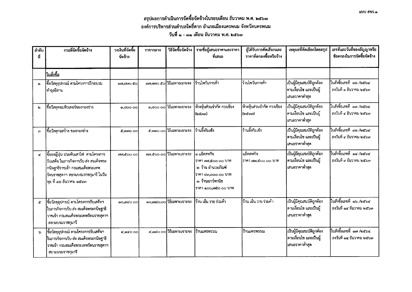#### สรุปผลการดำเนินการจัดซื้อจัดจ้างในรอบเดือน ธันวาคม พ.ศ. ๒๕๖๓ ้องค์การบริหารส่วนตำบลโพธิ์ตาก อำเภอเมืองนครพนม จังหวัดนครพนม วันที่ ๑ - ๓๑ เดือน ธันวาคม พ.ศ. ๒๕๖๓

| ลำดับ<br>ที่          | งานที่จัดซื้อจัดจ้าง                                                                                                                                                               | วงเงินที่จัดซื้อ<br>จัดจ้าง | ราคากลาง | วิธีจัดซื้อจัดจ้าง        | ้ รายชื่อผู้เสนอราคาและราคา<br>ที่เสนอ                                                                                      | ผู้ได้รับการคัดเลือกและ<br>ราคาที่ตกลงซื้อหรือจ้าง | เหตุผลที่คัดเลือกโดยสรุป                                                 | เลขที่และวันที่ของสัญญาหรือ<br>ข้อตกลงในการจัดซื้อจัดจ้าง |
|-----------------------|------------------------------------------------------------------------------------------------------------------------------------------------------------------------------------|-----------------------------|----------|---------------------------|-----------------------------------------------------------------------------------------------------------------------------|----------------------------------------------------|--------------------------------------------------------------------------|-----------------------------------------------------------|
|                       | <b>ใบสั่งซื้อ</b>                                                                                                                                                                  |                             |          |                           |                                                                                                                             |                                                    |                                                                          |                                                           |
| ෧                     | ซื้อวัสดุอุปกรณ์ ตามโครงการฝึกอบรม<br> ทำธุงอีสาน                                                                                                                                  | രങ്,ങ്ങഠ @ോ                 |          | ๑๗,๗๗๐ ๕๐ วิธีเฉพาะเจาะจง | ร้านไพวันการค้า                                                                                                             | ร้านไพวันการค้า                                    | เป็นผู้มีคุณสมบัติถูกต้อง<br>ตามเงื่อนไข และเป็นผู้<br>เสนอราคาต่ำสุด    | ใบสังขี้อเลขที่ ๑๒ /๒๕๖๔<br>ลงวันที่ ๑ ธันวาคม ๒๕๖๓       |
| b                     | ซื้อวัสดุคอมพิวเตอร์ของกองช่าง                                                                                                                                                     | 0,డంం 00                    |          | ๑,๘๐๐ ๐๐ วิธีเฉพาะเจาะจง  | ห้างหุ้นส่วนจำกัด กวงเชียง<br>(loctaral)                                                                                    | ห้างหุ้นส่วนจำกัด กวงเชียง<br>(loc mm)             | เป็นผู้มีคุณสมบัติถูกต้อง<br>ตามเงื่อนไข และเป็นผู้<br>้เสนอราคาต่ำสุด   | ใบสังซื้อเลขที่ ๑๓ ⁄๒๕๖๔<br>ลงวันที่ ๔ ธันวาคม ๒๕๖๓       |
| ഩ                     | ซื้อวัสดุก่อสร้าง ของกองช่าง                                                                                                                                                       | C.mmooo                     |          | ๕,๓๓๐ ๐๐ วิธีเฉพาะเจาะจง  | ร้านอึ้งกิมเช้ง                                                                                                             | ร้านอึ้งกิมเช้ง                                    | เป็นผู้มีคุณสมบัติถูกต้อง<br>ดามเงื่อนไข และเป็นผู้<br>ู่เสนอราคาต่ำสุด  | ใบสั่งซื้อเลขที่ ๑๒ /๒๕๖๔<br>ลงวันที่ ๔ ธันวาคม ๒๕๖๓      |
| $\mathbf{G}^{\prime}$ | ซื้อธงญี่ปุ่น ประดับเสาไฟ ตามโครงการ<br>รับเสด็จ ในภารกิจการรับ-ส่ง สมเด็จพระ<br>กนิษฐาธิราชเจ้า กรมสมเด็จพระเทพ<br>รัตนราชสุดาฯ สยามบรมราชกุมารี ในวัน<br>พุธ ที่ ๑๖ ธันวาคม ๒๕๖๓ | da coo oo                   |          | ตต,๕๐๐ ๐๐ วิธีเฉพาะเจาะจง | ๑ แอ็ดสหกิจ<br> ราคา ๗๗.๕๐๐ ๐๐ บาท<br>๒. ร้าน อำนวยภัณฑ์<br>ราคา ๙๓,๐๐๐ ๐๐ บาท<br>๓. ร้านเยาว์พานิช<br> ราคา ๑๐๐,๗๕๐ ๐๐ บาท | แอ็ดสหกิจ<br>วาคา ๗๗,๕๐๐ ๐๐ บาท                    | เป็นผู้มีคุณสมบัติถูกต้อง<br>ตามเงื่อนไข และเป็นผู้<br>้เสนอราคาต่ำสุด   | ใบสั่งซื้อเลขที่ ๑๔ /๒๕๖๔<br>ลงวันที่ ๙ ธันวาคม ๒๕๖๓      |
| $\mathfrak{C}$        | ซื้อวัสดุอุปกรณ์ ตามโครงการรับเสด็จฯ<br>ในภารกิจการรับ ส่ง สมเด็จพระกนิษฐาธิ<br>ราชเจ้า กรมสมเด็จพระเทพรัตนราชสุดาฯ<br>ลยามบรมราชกุมารี                                            | ෧෮,෨෮෮ ෮෮                   |          | ๑๐,๓๔๐.๐๐ วิธีเฉพาะเจาะจง | ร้าน เอ็น วาย ร่วมค้า                                                                                                       | ร้าน เอ็น วาย ร่วมค้า                              | เป็นผู้มีคุณสมบัติถูกต้อง<br>ดามเงื่อนไข และเป็นผู้<br>ุ่ เสนอราคาต่ำสุด | ใบสั่งซื้อเลขที่ ๑๖/๒๕๖๔<br>ลงวันที่ ๑๔ ธันวาคม ๒๕๖๓      |
| ৯                     | ซื้อวัสดุอุปกรณ์ ตามโครงการรับเสด็จฯ<br>ในภารกิจการรับ-ส่ง สมเด็จพระกนิษฐาธิ<br>ราชเจ้า กรมสมเด็จพระเทพรัตนราชสุดาฯ<br>สยามบรมราชกุมารี                                            | <b>σ΄ Θε</b> Ο Ο Ο          |          | ๔,๑๔๐ ๐๐ วิธีเฉพาะเจาะจง  | ร้านแพรพรรณ                                                                                                                 | ร้านแพรพรรณ                                        | เป็นผู้มีคุณสมบัติถูกต้อง<br>ดามเงื่อนไข และเป็นผู้<br>ุ่เสนอราคาต่ำสุด  | ใบสังขี้อเลขที่ ๑๗ /๒๕๖๔<br>ลงวันที่ ๑๔ ธันวาคม ๒๕๖๓      |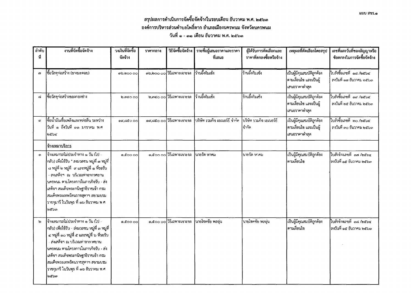### สรุปผลการดำเนินการจัดซื้อจัดจ้างในรอบเดือน ธันวาคม พ.ศ. ๒๕๖๓ ้องค์การบริหารส่วนตำบลโพธิ์ตาก อำเภอเมืองนครพนม จังหวัดนครพนม วันที่ ๑ - ๓๑ เคือน ธันวาคม พ.ศ. ๒๕๖๓

| ลำดับ<br>ที่ | งานที่จัดซื้อจัดจ้าง                                                                                                                                                                                                                                                                                                                                | วงเงินที่จัดซื้อ<br>จัดจ้าง | ราคากลาง | วิธีจัดซื้อจัดจ้าง        | ี รายชื่อผู้เสนอราคาและราคา<br>ที่เสนอ | ผู้ได้รับการคัดเลือกและ<br>ราคาที่ตกลงซื้อหรือจ้าง | เหตุผลที่คัดเลือกโดยสรุป                                                | เลขที่และวันที่ของสัญญาหรือ<br>ข้อตกลงในการจัดซื้อจัดจ้าง |
|--------------|-----------------------------------------------------------------------------------------------------------------------------------------------------------------------------------------------------------------------------------------------------------------------------------------------------------------------------------------------------|-----------------------------|----------|---------------------------|----------------------------------------|----------------------------------------------------|-------------------------------------------------------------------------|-----------------------------------------------------------|
| e)           | ซื้อวัสดุกอสร้าง (ยางมะตอย)                                                                                                                                                                                                                                                                                                                         | ග්රාම් පර                   |          | ตอ,๒๐๐ ๐๐ วิธีเฉพาะเจาะจง | ร้านอึ้งกิมเช้ง                        | ร้านอึ้งกิมเช้ง                                    | เป็นผู้มีคุณสมบัติถูกต้อง<br>ตามเงื่อนไข และเป็นผู้<br>เสนอราคาต่ำสุด   | ใบสั่งซื้อเลขที่ ๑๘ /๒๕๖๔<br>ลงวันที่ ๑๗ ธันวาคม ๒๕๖๓     |
| $\mathbf{G}$ | ชื้อวัสดุก่อสร้างของกองช่าง                                                                                                                                                                                                                                                                                                                         | <b>ම.ශටෙ 00</b>             |          | ๒,๓๔๐ ๐๐ วิธีเฉพาะเจาะจง  | ร้านอึ้งกิมเซ้ง                        | ร้านอึ้งกิมเช้ง                                    | เป็นผู้มีคุณสมบัติถูกต้อง<br>ตามเงื่อนไข และเป็นผู้<br>เสนอราคาต่ำสุด   | ใบสั่งซื้อเลขที่ ๑๙ /๒๕๖๔<br>ลงวันที่ ๒๕ ธันวาคม ๒๕๖๓     |
|              | ซื้อน้ำมันเชื้อเพลิงและหล่อลื่น ระหว่าง<br> วันที่ ๑ ถึงวันที่ ๓๑ มกราคม พ.ศ.<br>මරේටරෙ                                                                                                                                                                                                                                                             | $\alpha$ , සේ $\circ$ 00    |          | ดส,๘๕๐ ๐๐ วิธีเฉพาะเจาะจง | งริษัท รวมกิจ เอเนอร์ยี จำกัด          | บริษัท รวมกิจ เอเนอร์ชี<br>่ จำกัด                 | เป็นผู้มีคุณสมบัติถูกต้อง<br>ดามเงื่อนไข และเป็นผู้<br>ี่เสนอราคาต่ำสุด | ใบสั่งซื้อเลขที่ ๒๐ /๒๕๖๔<br>ลงวันที่ ๓๐ ธันวาคม ๒๕๖๓     |
|              | จ้างเหมาบริการ                                                                                                                                                                                                                                                                                                                                      |                             |          |                           |                                        |                                                    |                                                                         |                                                           |
| $\odot$      | จ้างเหมารถไม่ประจำทาง ๑ วัน (ไป -<br>กลับ) เพื่อใช้รับ " สงมวลชน หมู่ที่ ๗ หมู่ที่  <br>ี ๘ หมู่ที่ ๒ หมู่ที่   ๙ และหมู่ที่ ๑ ที่รอรับ<br>- สงเสด็จฯ ณ บริเวณท่าอากาศยาน<br>ุ่นครพนม ตามโครงการในภารกิจรับ - ส่ง<br>แสด็จฯ สมเด็จพระกนิษฐาธิราชเจ้า กรม<br>สมเด็จพระเทพรัตนราชสุดาฯ สยามบรม<br>ุราชกุมารี ในวันพุธ ที่ ๑๖ ธันวาคม พ.ศ.<br>loc ba   | ေၾကေတြ                      |          | ๑,๕๐๐ ๐๐ วิธีเฉพาะเจาะจง  | นายรัด หาคม                            | นายรัด หาคม                                        | เป็นผู้มีคุณสมบัติถูกต้อง<br>่ตามเงื่อนไข                               | ใบสั่งจ้างเลขที่ ๑๗ /๒๕๖๔<br>ลงวันที่ ๑๕ ธันวาคม ๒๕๖๓     |
| ២            | ่จ้างเหมารถไม่ประจำทาง ๑ วัน (ไป -<br>กลับ) เพื่อใช้รับ - ส่งมวลชน หมู่ที่ ๓ หมู่ที่<br>๔ หมู่ที่ ๑๐ หมู่ที่ ๕ และหมู่ที่ ๖ ที่รอรับ<br>ส่งเสด็จฯ ณ บริเวณท่าอากาศยาน<br>่ นครพนม ตามโครงการในภารกิจรับ - ส่ง<br>เสด็จฯ สมเด็จพระกนิษฐาธิราชเจ้า กรม<br>สมเด็จพระเทพรัตนราชสุดาฯ สยามบรม<br> ราชกุมารี ในวันพุธ ที่ ๑๖ ธันวาคม พ.ศ.<br><b>სამეთ</b> | ေငေဝ ဝဝါ                    |          | ๑,๕๐๐ ๐๐ วิธีเฉพาะเจาะจง  | นายโชคชัย พลอุน                        | นายโชคชัย พลอุน                                    | นปืนผู้มีคุณสมบัติถูกต้อง<br>ไตามเงื่อนไข                               | ใบสั่งจ้างเลขที่ ๑๘ /๒๕๖๔<br>ใลงวันที่ ๑๕ ธันวาคม ๒๕๖๓    |